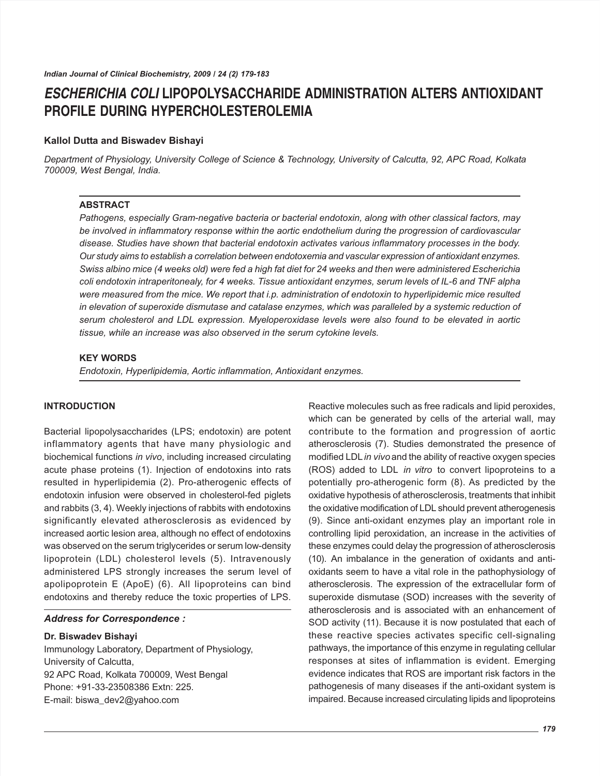# *ESCHERICHIA COLI* **LIPOPOLYSACCHARIDE ADMINISTRATION ALTERS ANTIOXIDANT PROFILE DURING HYPERCHOLESTEROLEMIA**

# **Kallol Dutta and Biswadev Bishayi**

*Department of Physiology, University College of Science & Technology, University of Calcutta, 92, APC Road, Kolkata 700009, West Bengal, India.*

## **ABSTRACT**

*Pathogens, especially Gram-negative bacteria or bacterial endotoxin, along with other classical factors, may be involved in inflammatory response within the aortic endothelium during the progression of cardiovascular disease. Studies have shown that bacterial endotoxin activates various inflammatory processes in the body. Our study aims to establish a correlation between endotoxemia and vascular expression of antioxidant enzymes. Swiss albino mice (4 weeks old) were fed a high fat diet for 24 weeks and then were administered Escherichia coli endotoxin intraperitonealy, for 4 weeks. Tissue antioxidant enzymes, serum levels of IL-6 and TNF alpha were measured from the mice. We report that i.p. administration of endotoxin to hyperlipidemic mice resulted in elevation of superoxide dismutase and catalase enzymes, which was paralleled by a systemic reduction of serum cholesterol and LDL expression. Myeloperoxidase levels were also found to be elevated in aortic tissue, while an increase was also observed in the serum cytokine levels.*

## **KEY WORDS**

*Endotoxin, Hyperlipidemia, Aortic inflammation, Antioxidant enzymes.*

## **INTRODUCTION**

Bacterial lipopolysaccharides (LPS; endotoxin) are potent inflammatory agents that have many physiologic and biochemical functions *in vivo*, including increased circulating acute phase proteins (1). Injection of endotoxins into rats resulted in hyperlipidemia (2). Pro-atherogenic effects of endotoxin infusion were observed in cholesterol-fed piglets and rabbits (3, 4). Weekly injections of rabbits with endotoxins significantly elevated atherosclerosis as evidenced by increased aortic lesion area, although no effect of endotoxins was observed on the serum triglycerides or serum low-density lipoprotein (LDL) cholesterol levels (5). Intravenously administered LPS strongly increases the serum level of apolipoprotein E (ApoE) (6). All lipoproteins can bind endotoxins and thereby reduce the toxic properties of LPS.

# *Address for Correspondence :*

#### **Dr. Biswadev Bishayi**

Immunology Laboratory, Department of Physiology, University of Calcutta, 92 APC Road, Kolkata 700009, West Bengal Phone: +91-33-23508386 Extn: 225. E-mail: biswa\_dev2@yahoo.com

Reactive molecules such as free radicals and lipid peroxides, which can be generated by cells of the arterial wall, may contribute to the formation and progression of aortic atherosclerosis (7). Studies demonstrated the presence of modified LDL *in vivo* and the ability of reactive oxygen species (ROS) added to LDL *in vitro* to convert lipoproteins to a potentially pro-atherogenic form (8). As predicted by the oxidative hypothesis of atherosclerosis, treatments that inhibit the oxidative modification of LDL should prevent atherogenesis (9). Since anti-oxidant enzymes play an important role in controlling lipid peroxidation, an increase in the activities of these enzymes could delay the progression of atherosclerosis (10). An imbalance in the generation of oxidants and antioxidants seem to have a vital role in the pathophysiology of atherosclerosis. The expression of the extracellular form of superoxide dismutase (SOD) increases with the severity of atherosclerosis and is associated with an enhancement of SOD activity (11). Because it is now postulated that each of these reactive species activates specific cell-signaling pathways, the importance of this enzyme in regulating cellular responses at sites of inflammation is evident. Emerging evidence indicates that ROS are important risk factors in the pathogenesis of many diseases if the anti-oxidant system is impaired. Because increased circulating lipids and lipoproteins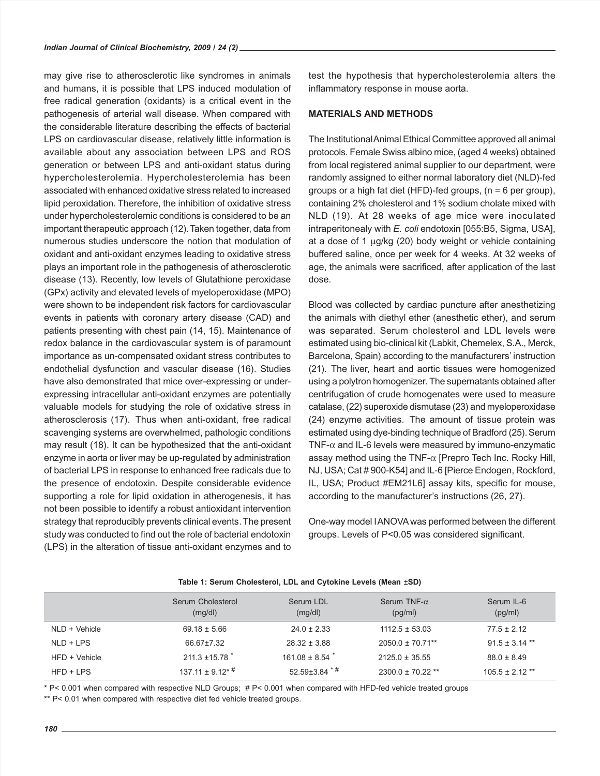may give rise to atherosclerotic like syndromes in animals and humans, it is possible that LPS induced modulation of free radical generation (oxidants) is a critical event in the pathogenesis of arterial wall disease. When compared with the considerable literature describing the effects of bacterial LPS on cardiovascular disease, relatively little information is available about any association between LPS and ROS generation or between LPS and anti-oxidant status during hypercholesterolemia. Hypercholesterolemia has been associated with enhanced oxidative stress related to increased lipid peroxidation. Therefore, the inhibition of oxidative stress under hypercholesterolemic conditions is considered to be an important therapeutic approach (12). Taken together, data from numerous studies underscore the notion that modulation of oxidant and anti-oxidant enzymes leading to oxidative stress plays an important role in the pathogenesis of atherosclerotic disease (13). Recently, low levels of Glutathione peroxidase (GPx) activity and elevated levels of myeloperoxidase (MPO) were shown to be independent risk factors for cardiovascular events in patients with coronary artery disease (CAD) and patients presenting with chest pain (14, 15). Maintenance of redox balance in the cardiovascular system is of paramount importance as un-compensated oxidant stress contributes to endothelial dysfunction and vascular disease (16). Studies have also demonstrated that mice over-expressing or underexpressing intracellular anti-oxidant enzymes are potentially valuable models for studying the role of oxidative stress in atherosclerosis (17). Thus when anti-oxidant, free radical scavenging systems are overwhelmed, pathologic conditions may result (18). It can be hypothesized that the anti-oxidant enzyme in aorta or liver may be up-regulated by administration of bacterial LPS in response to enhanced free radicals due to the presence of endotoxin. Despite considerable evidence supporting a role for lipid oxidation in atherogenesis, it has not been possible to identify a robust antioxidant intervention strategy that reproducibly prevents clinical events. The present study was conducted to find out the role of bacterial endotoxin (LPS) in the alteration of tissue anti-oxidant enzymes and to

test the hypothesis that hypercholesterolemia alters the inflammatory response in mouse aorta.

# **MATERIALS AND METHODS**

The Institutional Animal Ethical Committee approved all animal protocols. Female Swiss albino mice, (aged 4 weeks) obtained from local registered animal supplier to our department, were randomly assigned to either normal laboratory diet (NLD)-fed groups or a high fat diet (HFD)-fed groups, (n = 6 per group), containing 2% cholesterol and 1% sodium cholate mixed with NLD (19). At 28 weeks of age mice were inoculated intraperitonealy with *E. coli* endotoxin [055:B5, Sigma, USA], at a dose of 1 µg/kg (20) body weight or vehicle containing buffered saline, once per week for 4 weeks. At 32 weeks of age, the animals were sacrificed, after application of the last dose.

Blood was collected by cardiac puncture after anesthetizing the animals with diethyl ether (anesthetic ether), and serum was separated. Serum cholesterol and LDL levels were estimated using bio-clinical kit (Labkit, Chemelex, S.A., Merck, Barcelona, Spain) according to the manufacturers' instruction (21). The liver, heart and aortic tissues were homogenized using a polytron homogenizer. The supernatants obtained after centrifugation of crude homogenates were used to measure catalase, (22) superoxide dismutase (23) and myeloperoxidase (24) enzyme activities. The amount of tissue protein was estimated using dye-binding technique of Bradford (25). Serum TNF- $\alpha$  and IL-6 levels were measured by immuno-enzymatic assay method using the TNF- $\alpha$  [Prepro Tech Inc. Rocky Hill, NJ, USA; Cat # 900-K54] and IL-6 [Pierce Endogen, Rockford, IL, USA; Product #EM21L6] assay kits, specific for mouse, according to the manufacturer's instructions (26, 27).

One-way model I ANOVA was performed between the different groups. Levels of P<0.05 was considered significant.

|               | Serum Cholesterol<br>(mg/dl)   | Serum LDL<br>(mg/dl)           | Serum TNF- $\alpha$<br>(pg/ml) | Serum IL-6<br>(pg/ml) |
|---------------|--------------------------------|--------------------------------|--------------------------------|-----------------------|
| NLD + Vehicle | $69.18 \pm 5.66$               | $24.0 \pm 2.33$                | $1112.5 \pm 53.03$             | $77.5 \pm 2.12$       |
| $NLD + LPS$   | 66.67±7.32                     | $28.32 \pm 3.88$               | $2050.0 \pm 70.71**$           | $91.5 + 3.14$ **      |
| HFD + Vehicle | $211.3 \pm 15.78$ <sup>*</sup> | $161.08 \pm 8.54$ <sup>*</sup> | $2125.0 \pm 35.55$             | $88.0 \pm 8.49$       |
| $HFD + LPS$   | $137.11 \pm 9.12$ <sup>*</sup> | $52.59\pm3.84$ * #             | $2300.0 \pm 70.22$ **          | $105.5 \pm 2.12$ **   |

**Table 1: Serum Cholesterol, LDL and Cytokine Levels (Mean** ±**SD)**

\* P< 0.001 when compared with respective NLD Groups; # P< 0.001 when compared with HFD-fed vehicle treated groups

\*\* P< 0.01 when compared with respective diet fed vehicle treated groups.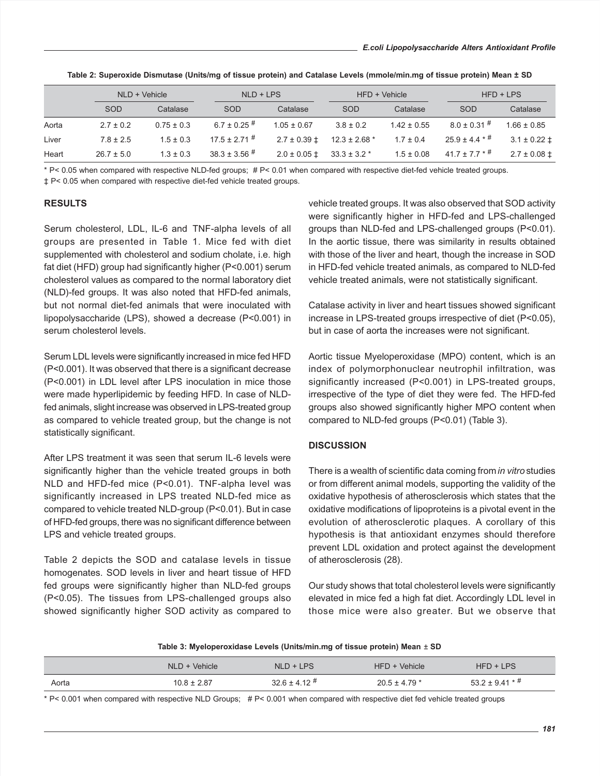|       |                | NLD + Vehicle  |                    | $NLD + LPS$                       |                   | HFD + Vehicle   |                          | $HFD + LPS$        |  |
|-------|----------------|----------------|--------------------|-----------------------------------|-------------------|-----------------|--------------------------|--------------------|--|
|       | <b>SOD</b>     | Catalase       | <b>SOD</b>         | Catalase                          | SOD               | Catalase        | SOD                      | Catalase           |  |
| Aorta | $2.7 \pm 0.2$  | $0.75 \pm 0.3$ | 6.7 ± 0.25 $^{\#}$ | $1.05 \pm 0.67$                   | $3.8 \pm 0.2$     | $1.42 \pm 0.55$ | $8.0 \pm 0.31$ #         | $1.66 \pm 0.85$    |  |
| Liver | $7.8 \pm 2.5$  | $1.5 \pm 0.3$  | $17.5 \pm 2.71$ #  | $2.7 \pm 0.39 \pm 1$              | $12.3 \pm 2.68$ * | $1.7 \pm 0.4$   | $25.9 \pm 4.4$ * $^{\#}$ | $3.1 \pm 0.22 \pm$ |  |
| Heart | $26.7 \pm 5.0$ | $1.3 \pm 0.3$  | $38.3 \pm 3.56$ #  | $2.0 \pm 0.05 \pm 33.3 \pm 3.2$ * |                   | $1.5 \pm 0.08$  | $41.7 \pm 7.7$ * $^{\#}$ | $2.7 \pm 0.08 \pm$ |  |

**Table 2: Superoxide Dismutase (Units/mg of tissue protein) and Catalase Levels (mmole/min.mg of tissue protein) Mean ± SD**

\* P< 0.05 when compared with respective NLD-fed groups; # P< 0.01 when compared with respective diet-fed vehicle treated groups. ‡ P< 0.05 when compared with respective diet-fed vehicle treated groups.

**RESULTS**

Serum cholesterol, LDL, IL-6 and TNF-alpha levels of all groups are presented in Table 1. Mice fed with diet supplemented with cholesterol and sodium cholate, i.e. high fat diet (HFD) group had significantly higher (P<0.001) serum cholesterol values as compared to the normal laboratory diet (NLD)-fed groups. It was also noted that HFD-fed animals, but not normal diet-fed animals that were inoculated with lipopolysaccharide (LPS), showed a decrease (P<0.001) in serum cholesterol levels.

Serum LDL levels were significantly increased in mice fed HFD (P<0.001). It was observed that there is a significant decrease (P<0.001) in LDL level after LPS inoculation in mice those were made hyperlipidemic by feeding HFD. In case of NLDfed animals, slight increase was observed in LPS-treated group as compared to vehicle treated group, but the change is not statistically significant.

After LPS treatment it was seen that serum IL-6 levels were significantly higher than the vehicle treated groups in both NLD and HFD-fed mice (P<0.01). TNF-alpha level was significantly increased in LPS treated NLD-fed mice as compared to vehicle treated NLD-group (P<0.01). But in case of HFD-fed groups, there was no significant difference between LPS and vehicle treated groups.

Table 2 depicts the SOD and catalase levels in tissue homogenates. SOD levels in liver and heart tissue of HFD fed groups were significantly higher than NLD-fed groups (P<0.05). The tissues from LPS-challenged groups also showed significantly higher SOD activity as compared to vehicle treated groups. It was also observed that SOD activity were significantly higher in HFD-fed and LPS-challenged groups than NLD-fed and LPS-challenged groups (P<0.01). In the aortic tissue, there was similarity in results obtained with those of the liver and heart, though the increase in SOD in HFD-fed vehicle treated animals, as compared to NLD-fed vehicle treated animals, were not statistically significant.

Catalase activity in liver and heart tissues showed significant increase in LPS-treated groups irrespective of diet (P<0.05), but in case of aorta the increases were not significant.

Aortic tissue Myeloperoxidase (MPO) content, which is an index of polymorphonuclear neutrophil infiltration, was significantly increased (P<0.001) in LPS-treated groups, irrespective of the type of diet they were fed. The HFD-fed groups also showed significantly higher MPO content when compared to NLD-fed groups (P<0.01) (Table 3).

# **DISCUSSION**

There is a wealth of scientific data coming from *in vitro* studies or from different animal models, supporting the validity of the oxidative hypothesis of atherosclerosis which states that the oxidative modifications of lipoproteins is a pivotal event in the evolution of atherosclerotic plaques. A corollary of this hypothesis is that antioxidant enzymes should therefore prevent LDL oxidation and protect against the development of atherosclerosis (28).

Our study shows that total cholesterol levels were significantly elevated in mice fed a high fat diet. Accordingly LDL level in those mice were also greater. But we observe that

| Table 3: Myeloperoxidase Levels (Units/min.mg of tissue protein) Mean $\pm$ SD |  |  |
|--------------------------------------------------------------------------------|--|--|
|--------------------------------------------------------------------------------|--|--|

|       | NLD + Vehicle   | $NLD + LPS$ | $HFD + Vehicle$   | $HFD + LPS$               |  |
|-------|-----------------|-------------|-------------------|---------------------------|--|
| Aorta | $10.8 \pm 2.87$ | $326 + 412$ | $20.5 \pm 4.79$ * | $53.2 \pm 9.41$ * $^{\#}$ |  |

\* P< 0.001 when compared with respective NLD Groups; # P< 0.001 when compared with respective diet fed vehicle treated groups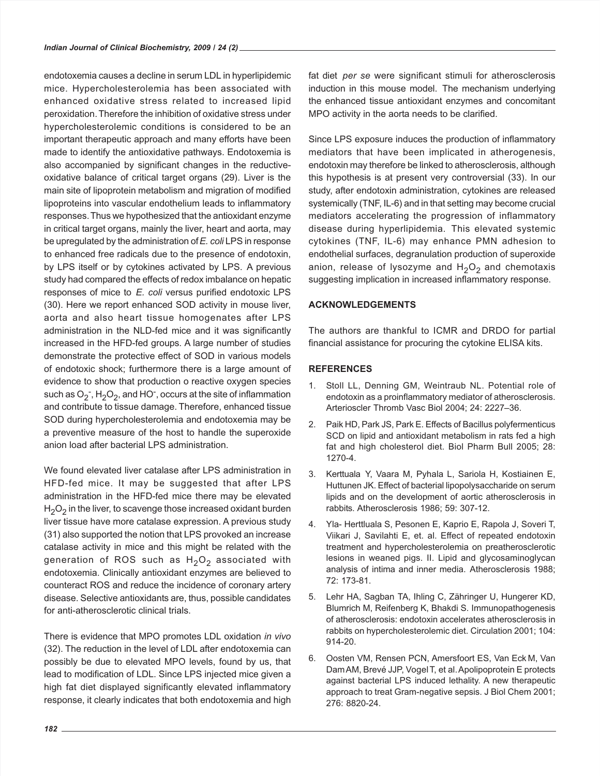endotoxemia causes a decline in serum LDL in hyperlipidemic mice. Hypercholesterolemia has been associated with enhanced oxidative stress related to increased lipid peroxidation.Therefore the inhibition of oxidative stress under hypercholesterolemic conditions is considered to be an important therapeutic approach and many efforts have been made to identify the antioxidative pathways. Endotoxemia is also accompanied by significant changes in the reductiveoxidative balance of critical target organs (29). Liver is the main site of lipoprotein metabolism and migration of modified lipoproteins into vascular endothelium leads to inflammatory responses.Thus we hypothesized that the antioxidant enzyme in critical target organs, mainly the liver, heart and aorta, may be upregulated by the administration of *E. coli* LPS in response to enhanced free radicals due to the presence of endotoxin, by LPS itself or by cytokines activated by LPS. A previous study had compared the effects of redox imbalance on hepatic responses of mice to *E. coli* versus purified endotoxic LPS (30). Here we report enhanced SOD activity in mouse liver, aorta and also heart tissue homogenates after LPS administration in the NLD-fed mice and it was significantly increased in the HFD-fed groups. A large number of studies demonstrate the protective effect of SOD in various models of endotoxic shock; furthermore there is a large amount of evidence to show that production o reactive oxygen species such as  $O_2$ <sup>-</sup>, H<sub>2</sub>O<sub>2</sub>, and HO<sup>-</sup>, occurs at the site of inflammation and contribute to tissue damage. Therefore, enhanced tissue SOD during hypercholesterolemia and endotoxemia may be a preventive measure of the host to handle the superoxide anion load after bacterial LPS administration.

We found elevated liver catalase after LPS administration in HFD-fed mice. It may be suggested that after LPS administration in the HFD-fed mice there may be elevated  $H<sub>2</sub>O<sub>2</sub>$  in the liver, to scavenge those increased oxidant burden liver tissue have more catalase expression. A previous study (31) also supported the notion that LPS provoked an increase catalase activity in mice and this might be related with the generation of ROS such as  $H_2O_2$  associated with endotoxemia. Clinically antioxidant enzymes are believed to counteract ROS and reduce the incidence of coronary artery disease. Selective antioxidants are, thus, possible candidates for anti-atherosclerotic clinical trials.

There is evidence that MPO promotes LDL oxidation *in vivo* (32). The reduction in the level of LDL after endotoxemia can possibly be due to elevated MPO levels, found by us, that lead to modification of LDL. Since LPS injected mice given a high fat diet displayed significantly elevated inflammatory response, it clearly indicates that both endotoxemia and high

fat diet *per se* were significant stimuli for atherosclerosis induction in this mouse model. The mechanism underlying the enhanced tissue antioxidant enzymes and concomitant MPO activity in the aorta needs to be clarified.

Since LPS exposure induces the production of inflammatory mediators that have been implicated in atherogenesis, endotoxin may therefore be linked to atherosclerosis, although this hypothesis is at present very controversial (33). In our study, after endotoxin administration, cytokines are released systemically (TNF, IL-6) and in that setting may become crucial mediators accelerating the progression of inflammatory disease during hyperlipidemia. This elevated systemic cytokines (TNF, IL-6) may enhance PMN adhesion to endothelial surfaces, degranulation production of superoxide anion, release of lysozyme and  $H_2O_2$  and chemotaxis suggesting implication in increased inflammatory response.

# **ACKNOWLEDGEMENTS**

The authors are thankful to ICMR and DRDO for partial financial assistance for procuring the cytokine ELISA kits.

## **REFERENCES**

- 1. Stoll LL, Denning GM, Weintraub NL. Potential role of endotoxin as a proinflammatory mediator of atherosclerosis. Arterioscler Thromb Vasc Biol 2004; 24: 2227–36.
- 2. Paik HD, Park JS, Park E. Effects of Bacillus polyfermenticus SCD on lipid and antioxidant metabolism in rats fed a high fat and high cholesterol diet. Biol Pharm Bull 2005; 28: 1270-4.
- 3. Kerttuala Y, Vaara M, Pyhala L, Sariola H, Kostiainen E, Huttunen JK. Effect of bacterial lipopolysaccharide on serum lipids and on the development of aortic atherosclerosis in rabbits. Atherosclerosis 1986; 59: 307-12.
- 4. Yla- Herttluala S, Pesonen E, Kaprio E, Rapola J, Soveri T, Viikari J, Savilahti E, et. al. Effect of repeated endotoxin treatment and hypercholesterolemia on preatherosclerotic lesions in weaned pigs. II. Lipid and glycosaminoglycan analysis of intima and inner media. Atherosclerosis 1988; 72: 173-81.
- 5. Lehr HA, Sagban TA, Ihling C, Zähringer U, Hungerer KD, Blumrich M, Reifenberg K, Bhakdi S. Immunopathogenesis of atherosclerosis: endotoxin accelerates atherosclerosis in rabbits on hypercholesterolemic diet. Circulation 2001; 104: 914-20.
- 6. Oosten VM, Rensen PCN, Amersfoort ES, Van Eck M, Van DamAM, Brevé JJP, Vogel T, et al. Apolipoprotein E protects against bacterial LPS induced lethality. A new therapeutic approach to treat Gram-negative sepsis. J Biol Chem 2001; 276: 8820-24.